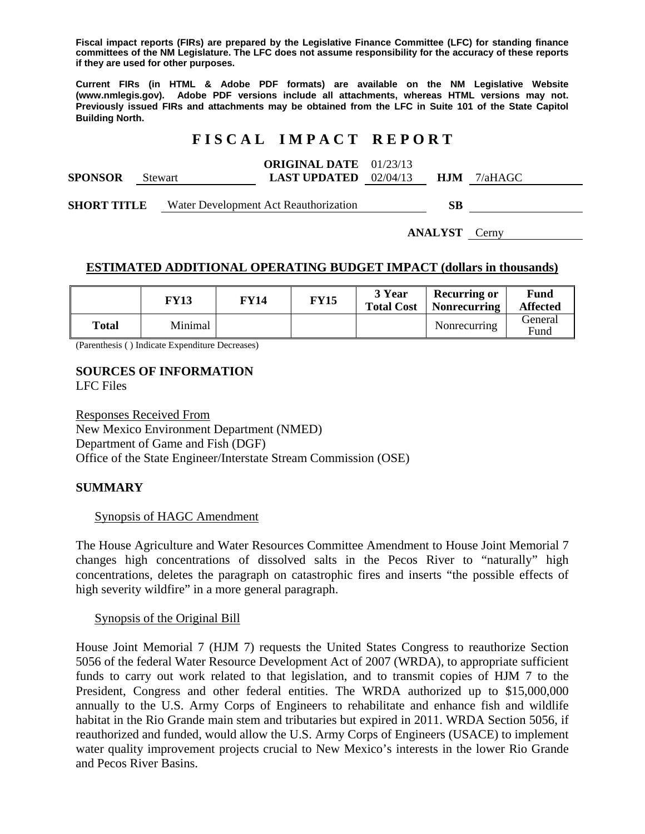**Fiscal impact reports (FIRs) are prepared by the Legislative Finance Committee (LFC) for standing finance committees of the NM Legislature. The LFC does not assume responsibility for the accuracy of these reports if they are used for other purposes.** 

**Current FIRs (in HTML & Adobe PDF formats) are available on the NM Legislative Website (www.nmlegis.gov). Adobe PDF versions include all attachments, whereas HTML versions may not. Previously issued FIRs and attachments may be obtained from the LFC in Suite 101 of the State Capitol Building North.**

## **F I S C A L I M P A C T R E P O R T**

|                |                | <b>ORIGINAL DATE</b> $01/23/13$ |  |               |
|----------------|----------------|---------------------------------|--|---------------|
| <b>SPONSOR</b> | <b>Stewart</b> | <b>LAST UPDATED</b> $02/04/13$  |  | $HJM$ 7/aHAGC |
|                |                |                                 |  |               |

**SHORT TITLE** Water Development Act Reauthorization **SB** 

**ANALYST** Cerny

#### **ESTIMATED ADDITIONAL OPERATING BUDGET IMPACT (dollars in thousands)**

|       | FY13    | FY14 | <b>FY15</b> | 3 Year<br><b>Total Cost</b> | <b>Recurring or</b><br><b>Nonrecurring</b> | Fund<br><b>Affected</b> |
|-------|---------|------|-------------|-----------------------------|--------------------------------------------|-------------------------|
| Total | Minimal |      |             |                             | Nonrecurring                               | General<br>Fund         |

(Parenthesis ( ) Indicate Expenditure Decreases)

# **SOURCES OF INFORMATION**

LFC Files

Responses Received From New Mexico Environment Department (NMED) Department of Game and Fish (DGF) Office of the State Engineer/Interstate Stream Commission (OSE)

## **SUMMARY**

#### Synopsis of HAGC Amendment

The House Agriculture and Water Resources Committee Amendment to House Joint Memorial 7 changes high concentrations of dissolved salts in the Pecos River to "naturally" high concentrations, deletes the paragraph on catastrophic fires and inserts "the possible effects of high severity wildfire" in a more general paragraph.

Synopsis of the Original Bill

House Joint Memorial 7 (HJM 7) requests the United States Congress to reauthorize Section 5056 of the federal Water Resource Development Act of 2007 (WRDA), to appropriate sufficient funds to carry out work related to that legislation, and to transmit copies of HJM 7 to the President, Congress and other federal entities. The WRDA authorized up to \$15,000,000 annually to the U.S. Army Corps of Engineers to rehabilitate and enhance fish and wildlife habitat in the Rio Grande main stem and tributaries but expired in 2011. WRDA Section 5056, if reauthorized and funded, would allow the U.S. Army Corps of Engineers (USACE) to implement water quality improvement projects crucial to New Mexico's interests in the lower Rio Grande and Pecos River Basins.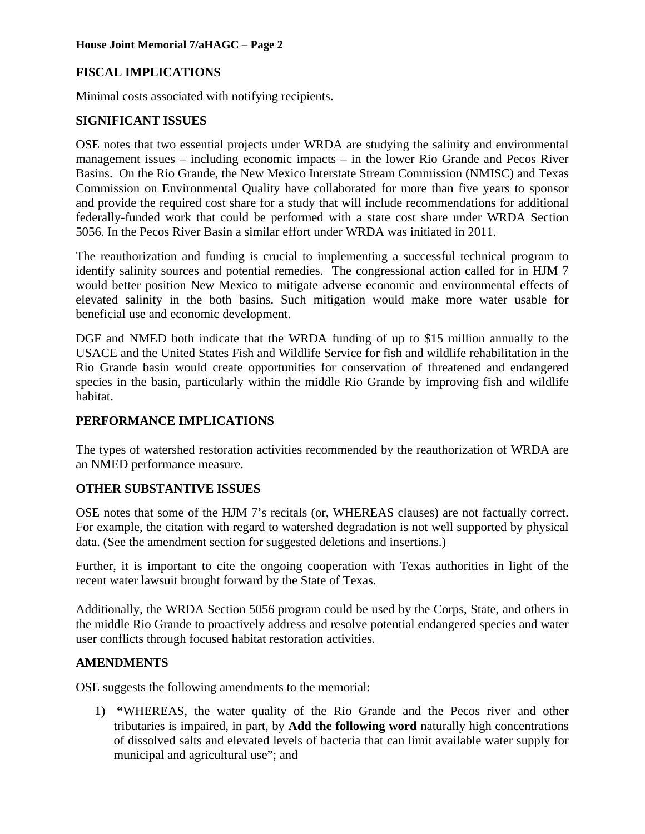# **FISCAL IMPLICATIONS**

Minimal costs associated with notifying recipients.

#### **SIGNIFICANT ISSUES**

OSE notes that two essential projects under WRDA are studying the salinity and environmental management issues – including economic impacts – in the lower Rio Grande and Pecos River Basins. On the Rio Grande, the New Mexico Interstate Stream Commission (NMISC) and Texas Commission on Environmental Quality have collaborated for more than five years to sponsor and provide the required cost share for a study that will include recommendations for additional federally-funded work that could be performed with a state cost share under WRDA Section 5056. In the Pecos River Basin a similar effort under WRDA was initiated in 2011.

The reauthorization and funding is crucial to implementing a successful technical program to identify salinity sources and potential remedies. The congressional action called for in HJM 7 would better position New Mexico to mitigate adverse economic and environmental effects of elevated salinity in the both basins. Such mitigation would make more water usable for beneficial use and economic development.

DGF and NMED both indicate that the WRDA funding of up to \$15 million annually to the USACE and the United States Fish and Wildlife Service for fish and wildlife rehabilitation in the Rio Grande basin would create opportunities for conservation of threatened and endangered species in the basin, particularly within the middle Rio Grande by improving fish and wildlife habitat.

## **PERFORMANCE IMPLICATIONS**

The types of watershed restoration activities recommended by the reauthorization of WRDA are an NMED performance measure.

## **OTHER SUBSTANTIVE ISSUES**

OSE notes that some of the HJM 7's recitals (or, WHEREAS clauses) are not factually correct. For example, the citation with regard to watershed degradation is not well supported by physical data. (See the amendment section for suggested deletions and insertions.)

Further, it is important to cite the ongoing cooperation with Texas authorities in light of the recent water lawsuit brought forward by the State of Texas.

Additionally, the WRDA Section 5056 program could be used by the Corps, State, and others in the middle Rio Grande to proactively address and resolve potential endangered species and water user conflicts through focused habitat restoration activities.

## **AMENDMENTS**

OSE suggests the following amendments to the memorial:

1) **"**WHEREAS, the water quality of the Rio Grande and the Pecos river and other tributaries is impaired, in part, by **Add the following word** naturally high concentrations of dissolved salts and elevated levels of bacteria that can limit available water supply for municipal and agricultural use"; and